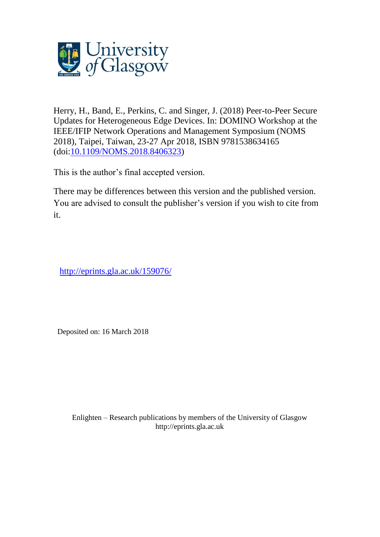

Herry, H., Band, E., Perkins, C. and Singer, J. (2018) Peer-to-Peer Secure Updates for Heterogeneous Edge Devices. In: DOMINO Workshop at the IEEE/IFIP Network Operations and Management Symposium (NOMS 2018), Taipei, Taiwan, 23-27 Apr 2018, ISBN 9781538634165 (doi[:10.1109/NOMS.2018.8406323\)](http://dx.doi.org/10.1109/NOMS.2018.8406323)

This is the author's final accepted version.

There may be differences between this version and the published version. You are advised to consult the publisher's version if you wish to cite from it.

<http://eprints.gla.ac.uk/159076/>

Deposited on: 16 March 2018

Enlighten – Research publications by members of the University of Glasgo[w](http://eprints.gla.ac.uk/) [http://eprints.gla.ac.uk](http://eprints.gla.ac.uk/)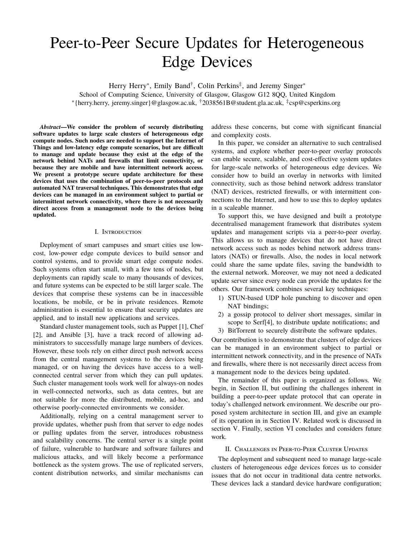# Peer-to-Peer Secure Updates for Heterogeneous Edge Devices

Herry Herry<sup>∗</sup>, Emily Band<sup>†</sup>, Colin Perkins<sup>‡</sup>, and Jeremy Singer<sup>∗</sup> School of Computing Science, University of Glasgow, Glasgow G12 8QQ, United Kingdom ∗ {herry.herry, jeremy.singer}@glasgow.ac.uk, †2038561B@student.gla.ac.uk, ‡ csp@csperkins.org

*Abstract***—We consider the problem of securely distributing software updates to large scale clusters of heterogeneous edge compute nodes. Such nodes are needed to support the Internet of Things and low-latency edge compute scenarios, but are difficult to manage and update because they exist at the edge of the network behind NATs and firewalls that limit connectivity, or because they are mobile and have intermittent network access. We present a prototype secure update architecture for these devices that uses the combination of peer-to-peer protocols and automated NAT traversal techniques. This demonstrates that edge devices can be managed in an environment subject to partial or intermittent network connectivity, where there is not necessarily direct access from a management node to the devices being updated.**

#### I. Introduction

Deployment of smart campuses and smart cities use lowcost, low-power edge compute devices to build sensor and control systems, and to provide smart edge compute nodes. Such systems often start small, with a few tens of nodes, but deployments can rapidly scale to many thousands of devices, and future systems can be expected to be still larger scale. The devices that comprise these systems can be in inaccessible locations, be mobile, or be in private residences. Remote administration is essential to ensure that security updates are applied, and to install new applications and services.

Standard cluster management tools, such as Puppet [1], Chef [2], and Ansible [3], have a track record of allowing administrators to successfully manage large numbers of devices. However, these tools rely on either direct push network access from the central management systems to the devices being managed, or on having the devices have access to a wellconnected central server from which they can pull updates. Such cluster management tools work well for always-on nodes in well-connected networks, such as data centres, but are not suitable for more the distributed, mobile, ad-hoc, and otherwise poorly-connected environments we consider.

Additionally, relying on a central management server to provide updates, whether push from that server to edge nodes or pulling updates from the server, introduces robustness and scalability concerns. The central server is a single point of failure, vulnerable to hardware and software failures and malicious attacks, and will likely become a performance bottleneck as the system grows. The use of replicated servers, content distribution networks, and similar mechanisms can address these concerns, but come with significant financial and complexity costs.

In this paper, we consider an alternative to such centralised systems, and explore whether peer-to-peer overlay protocols can enable secure, scalable, and cost-effective system updates for large-scale networks of heterogeneous edge devices. We consider how to build an overlay in networks with limited connectivity, such as those behind network address translator (NAT) devices, restricted firewalls, or with intermittent connections to the Internet, and how to use this to deploy updates in a scaleable manner.

To support this, we have designed and built a prototype decentralised management framework that distributes system updates and management scripts via a peer-to-peer overlay. This allows us to manage devices that do not have direct network access such as nodes behind network address translators (NATs) or firewalls. Also, the nodes in local network could share the same update files, saving the bandwidth to the external network. Moreover, we may not need a dedicated update server since every node can provide the updates for the others. Our framework combines several key techniques:

- 1) STUN-based UDP hole punching to discover and open NAT bindings;
- 2) a gossip protocol to deliver short messages, similar in scope to Serf[4], to distribute update notifications; and
- 3) BitTorrent to securely distribute the software updates.

Our contribution is to demonstrate that clusters of edge devices can be managed in an environment subject to partial or intermittent network connectivity, and in the presence of NATs and firewalls, where there is not necessarily direct access from a management node to the devices being updated.

The remainder of this paper is organized as follows. We begin, in Section II, but outlining the challenges inherent in building a peer-to-peer update protocol that can operate in today's challenged network environment. We describe our proposed system architecture in section III, and give an example of its operation in in Section IV. Related work is discussed in section V. Finally, section VI concludes and considers future work.

## II. Challenges in Peer-to-Peer Cluster Updates

The deployment and subsequent need to manage large-scale clusters of heterogeneous edge devices forces us to consider issues that do not occur in traditional data centre networks. These devices lack a standard device hardware configuration;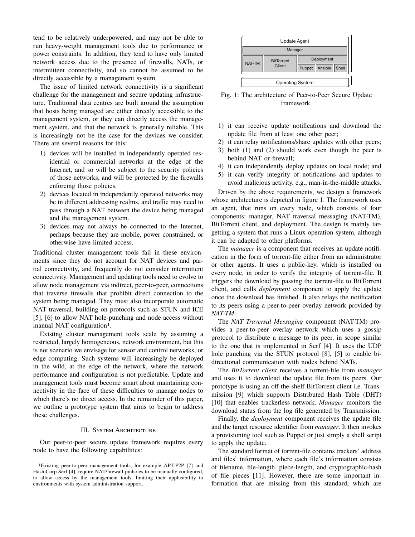tend to be relatively underpowered, and may not be able to run heavy-weight management tools due to performance or power constraints. In addition, they tend to have only limited network access due to the presence of firewalls, NATs, or intermittent connectivity, and so cannot be assumed to be directly accessible by a management system.

The issue of limited network connectivity is a significant challenge for the management and secure updating infrastructure. Traditional data centres are built around the assumption that hosts being managed are either directly accessible to the management system, or they can directly access the management system, and that the network is generally reliable. This is increasingly not be the case for the devices we consider. There are several reasons for this:

- 1) devices will be installed in independently operated residential or commercial networks at the edge of the Internet, and so will be subject to the security policies of those networks, and will be protected by the firewalls enforcing those policies.
- 2) devices located in independently operated networks may be in different addressing realms, and traffic may need to pass through a NAT between the device being managed and the management system.
- 3) devices may not always be connected to the Internet, perhaps because they are mobile, power constrained, or otherwise have limited access.

Traditional cluster management tools fail in these environments since they do not account for NAT devices and partial connectivity, and frequently do not consider intermittent connectivity. Management and updating tools need to evolve to allow node management via indirect, peer-to-peer, connections that traverse firewalls that prohibit direct connection to the system being managed. They must also incorporate automatic NAT traversal, building on protocols such as STUN and ICE [5], [6] to allow NAT hole-punching and node access without manual NAT configuration<sup>1</sup>.

Existing cluster management tools scale by assuming a restricted, largely homogeneous, network environment, but this is not scenario we envisage for sensor and control networks, or edge computing. Such systems will increasingly be deployed in the wild, at the edge of the network, where the network performance and configuration is not predictable. Update and management tools must become smart about maintaining connectivity in the face of these difficulties to manage nodes to which there's no direct access. In the remainder of this paper, we outline a prototype system that aims to begin to address these challenges.

## III. System Architecture

Our peer-to-peer secure update framework requires every node to have the following capabilities:



Fig. 1: The architecture of Peer-to-Peer Secure Update framework.

- 1) it can receive update notifications and download the update file from at least one other peer;
- 2) it can relay notifications/share updates with other peers;
- 3) both (1) and (2) should work even though the peer is behind NAT or firewall;
- 4) it can independently deploy updates on local node; and
- 5) it can verify integrity of notifications and updates to avoid malicious activity, e.g., man-in-the-middle attacks.

Driven by the above requirements, we design a framework whose architecture is depicted in figure 1. The framework uses an agent, that runs on every node, which consists of four components: manager, NAT traversal messaging (NAT-TM), BitTorrent client, and deployment. The design is mainly targetting a system that runs a Linux operation system, although it can be adapted to other platforms.

The *manager* is a component that receives an update notification in the form of torrent-file either from an administrator or other agents. It uses a public-key, which is installed on every node, in order to verify the integrity of torrent-file. It triggers the download by passing the torrent-file to BitTorrent client, and calls *deployment* component to apply the update once the download has finished. It also relays the notification to its peers using a peer-to-peer overlay network provided by *NAT-TM*.

The *NAT Traversal Messaging* component (NAT-TM) provides a peer-to-peer overlay network which uses a gossip protocol to distribute a message to its peer, in scope similar to the one that is implemented in Serf [4]. It uses the UDP hole punching via the STUN protocol [8], [5] to enable bidirectional communication with nodes behind NATs.

The *BitTorrent client* receives a torrent-file from *manager* and uses it to download the update file from its peers. Our prototype is using an off-the-shelf BitTorrent client i.e. Transmission [9] which supports Distributed Hash Table (DHT) [10] that enables trackerless network. *Manager* monitors the download status from the log file generated by Transmission.

Finally, the *deployment* component receives the update file and the target resource identifier from *manager*. It then invokes a provisioning tool such as Puppet or just simply a shell script to apply the update.

The standard format of torrent-file contains trackers' address and files' information, where each file's information consists of filename, file-length, piece-length, and cryptographic-hash of file pieces [11]. However, there are some important information that are missing from this standard, which are

<sup>1</sup>Existing peer-to-peer management tools, for example APT-P2P [7] and HashiCorp Serf [4], require NAT/firewall pinholes to be manually configured, to allow access by the management tools, limiting their applicability to environments with system administration support.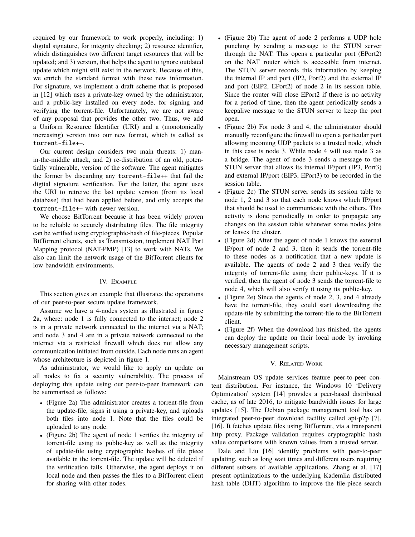required by our framework to work properly, including: 1) digital signature, for integrity checking; 2) resource identifier, which distinguishes two different target resources that will be updated; and 3) version, that helps the agent to ignore outdated update which might still exist in the network. Because of this, we enrich the standard format with these new information. For signature, we implement a draft scheme that is proposed in [12] which uses a private-key owned by the administrator, and a public-key installed on every node, for signing and verifying the torrent-file. Unfortunately, we are not aware of any proposal that provides the other two. Thus, we add a Uniform Resource Identifier (URI) and a (monotonically increasing) version into our new format, which is called as torrent-file++.

Our current design considers two main threats: 1) manin-the-middle attack, and 2) re-distribution of an old, potentially vulnerable, version of the software. The agent mitigates the former by discarding any torrent-file++ that fail the digital signature verification. For the latter, the agent uses the URI to retreive the last update version (from its local database) that had been applied before, and only accepts the torrent-file++ with newer version.

We choose BitTorrent because it has been widely proven to be reliable to securely distributing files. The file integrity can be verified using cryptographic-hash of file-pieces. Popular BitTorrent clients, such as Transmission, implement NAT Port Mapping protocol (NAT-PMP) [13] to work with NATs. We also can limit the network usage of the BitTorrent clients for low bandwidth environments.

# IV. Example

This section gives an example that illustrates the operations of our peer-to-peer secure update framework.

Assume we have a 4-nodes system as illustrated in figure 2a, where: node 1 is fully connected to the internet; node 2 is in a private network connected to the internet via a NAT; and node 3 and 4 are in a private network connected to the internet via a restricted firewall which does not allow any communication initiated from outside. Each node runs an agent whose architecture is depicted in figure 1.

As administrator, we would like to apply an update on all nodes to fix a security vulnerability. The process of deploying this update using our peer-to-peer framework can be summarised as follows:

- (Figure 2a) The administrator creates a torrent-file from the update-file, signs it using a private-key, and uploads both files into node 1. Note that the files could be uploaded to any node.
- (Figure 2b) The agent of node 1 verifies the integrity of torrent-file using its public-key as well as the integrity of update-file using cryptographic hashes of file piece available in the torrent-file. The update will be deleted if the verification fails. Otherwise, the agent deploys it on local node and then passes the files to a BitTorrent client for sharing with other nodes.
- (Figure 2b) The agent of node 2 performs a UDP hole punching by sending a message to the STUN server through the NAT. This opens a particular port (EPort2) on the NAT router which is accessible from internet. The STUN server records this information by keeping the internal IP and port (IP2, Port2) and the external IP and port (EIP2, EPort2) of node 2 in its session table. Since the router will close EPort2 if there is no activity for a period of time, then the agent periodically sends a keepalive message to the STUN server to keep the port open.
- (Figure 2b) For node 3 and 4, the administrator should manually reconfigure the firewall to open a particular port allowing incoming UDP packets to a trusted node, which in this case is node 3. While node 4 will use node 3 as a bridge. The agent of node 3 sends a message to the STUN server that allows its internal IP/port (IP3, Port3) and external IP/port (EIP3, EPort3) to be recorded in the session table.
- (Figure 2c) The STUN server sends its session table to node 1, 2 and 3 so that each node knows which IP/port that should be used to communicate with the others. This activity is done periodically in order to propagate any changes on the session table whenever some nodes joins or leaves the cluster.
- (Figure 2d) After the agent of node 1 knows the external IP/port of node 2 and 3, then it sends the torrent-file to these nodes as a notification that a new update is available. The agents of node 2 and 3 then verify the integrity of torrent-file using their public-keys. If it is verified, then the agent of node 3 sends the torrent-file to node 4, which will also verify it using its public-key.
- (Figure 2e) Since the agents of node 2, 3, and 4 already have the torrent-file, they could start downloading the update-file by submitting the torrent-file to the BitTorrent client.
- (Figure 2f) When the download has finished, the agents can deploy the update on their local node by invoking necessary management scripts.

# V. Related Work

Mainstream OS update services feature peer-to-peer content distribution. For instance, the Windows 10 'Delivery Optimization' system [14] provides a peer-based distributed cache, as of late 2016, to mitigate bandwidth issues for large updates [15]. The Debian package management tool has an integrated peer-to-peer download facility called apt-p2p [7], [16]. It fetches update files using BitTorrent, via a transparent http proxy. Package validation requires cryptographic hash value comparisons with known values from a trusted server.

Dale and Liu [16] identify problems with peer-to-peer updating, such as long wait times and different users requiring different subsets of available applications. Zhang et al. [17] present optimizations to the underlying Kademlia distributed hash table (DHT) algorithm to improve the file-piece search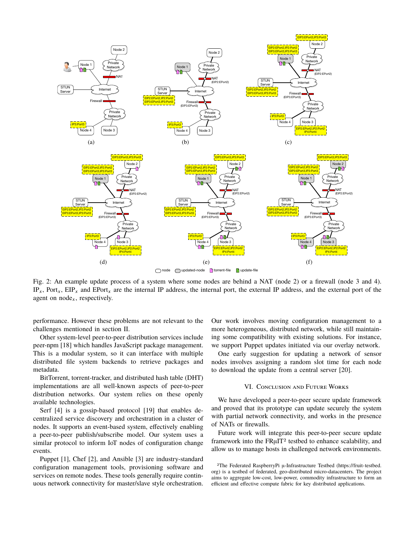

Fig. 2: An example update process of a system where some nodes are behind a NAT (node 2) or a firewall (node 3 and 4).  $IP_x$ , Port<sub>x</sub>, EIP<sub>x</sub> and EPort<sub>x</sub> are the internal IP address, the internal port, the external IP address, and the external port of the agent on node<sub>x</sub>, respectively.

performance. However these problems are not relevant to the challenges mentioned in section II.

Other system-level peer-to-peer distribution services include peer-npm [18] which handles JavaScript package management. This is a modular system, so it can interface with multiple distributed file system backends to retrieve packages and metadata.

BitTorrent, torrent-tracker, and distributed hash table (DHT) implementations are all well-known aspects of peer-to-peer distribution networks. Our system relies on these openly available technologies.

Serf [4] is a gossip-based protocol [19] that enables decentralized service discovery and orchestration in a cluster of nodes. It supports an event-based system, effectively enabling a peer-to-peer publish/subscribe model. Our system uses a similar protocol to inform IoT nodes of configuration change events.

Puppet [1], Chef [2], and Ansible [3] are industry-standard configuration management tools, provisioning software and services on remote nodes. These tools generally require continuous network connectivity for master/slave style orchestration. Our work involves moving configuration management to a more heterogeneous, distributed network, while still maintaining some compatibility with existing solutions. For instance, we support Puppet updates initiated via our overlay network.

One early suggestion for updating a network of sensor nodes involves assigning a random slot time for each node to download the update from a central server [20].

## VI. Conclusion and Future Works

We have developed a peer-to-peer secure update framework and proved that its prototype can update securely the system with partial network connectivity, and works in the presence of NATs or firewalls.

Future work will integrate this peer-to-peer secure update framework into the FRµIT2 testbed to enhance scalability, and allow us to manage hosts in challenged network environments.

<sup>2</sup>The Federated RaspberryPi µ-Infrastructure Testbed (https://fruit-testbed. org) is a testbed of federated, geo-distributed micro-datacenters. The project aims to aggregate low-cost, low-power, commodity infrastructure to form an efficient and effective compute fabric for key distributed applications.